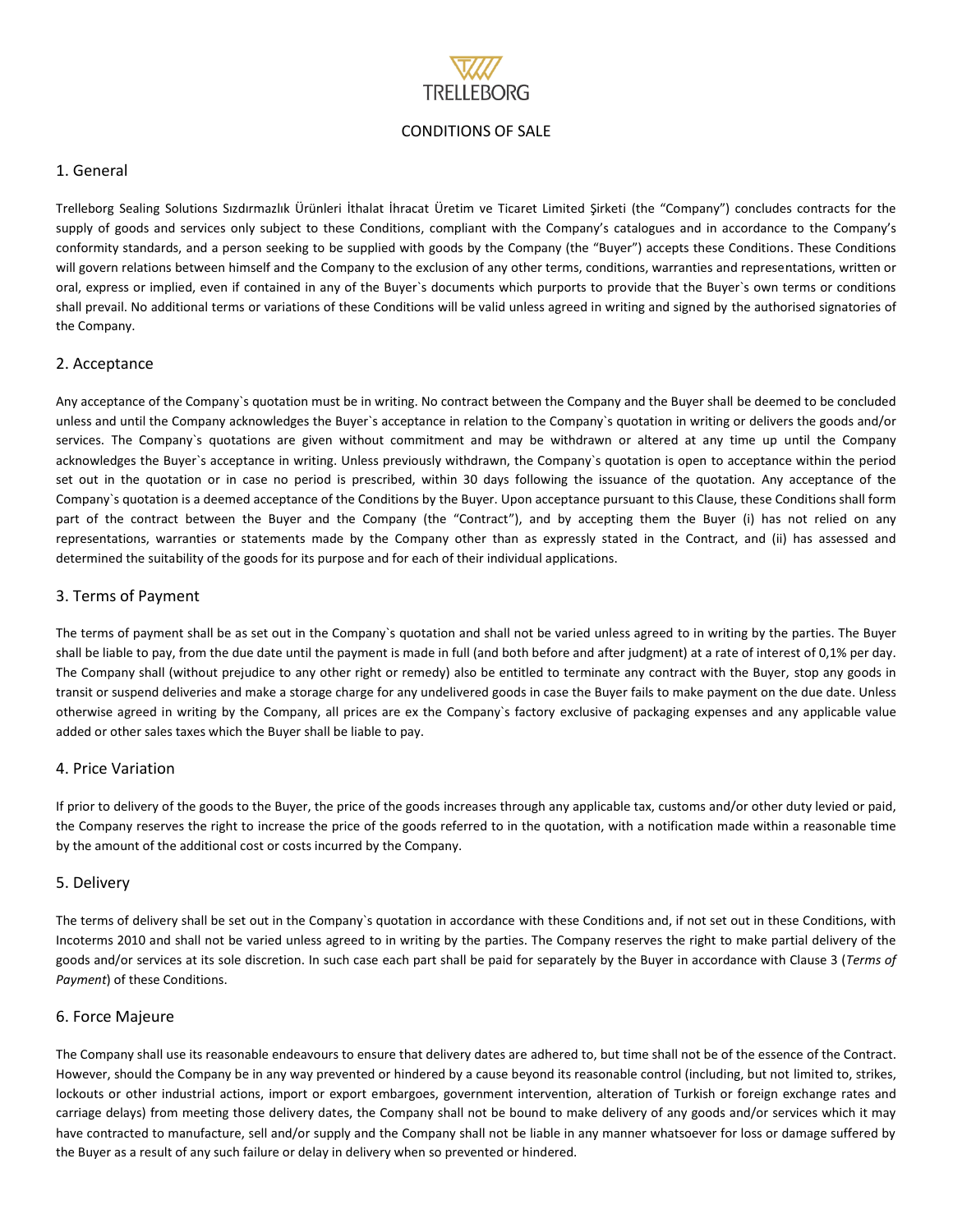

# CONDITIONS OF SALE

# 1. General

Trelleborg Sealing Solutions Sızdırmazlık Ürünleri İthalat İhracat Üretim ve Ticaret Limited Şirketi (the "Company") concludes contracts for the supply of goods and services only subject to these Conditions, compliant with the Company's catalogues and in accordance to the Company's conformity standards, and a person seeking to be supplied with goods by the Company (the "Buyer") accepts these Conditions. These Conditions will govern relations between himself and the Company to the exclusion of any other terms, conditions, warranties and representations, written or oral, express or implied, even if contained in any of the Buyer`s documents which purports to provide that the Buyer`s own terms or conditions shall prevail. No additional terms or variations of these Conditions will be valid unless agreed in writing and signed by the authorised signatories of the Company.

# 2. Acceptance

Any acceptance of the Company`s quotation must be in writing. No contract between the Company and the Buyer shall be deemed to be concluded unless and until the Company acknowledges the Buyer`s acceptance in relation to the Company`s quotation in writing or delivers the goods and/or services. The Company`s quotations are given without commitment and may be withdrawn or altered at any time up until the Company acknowledges the Buyer`s acceptance in writing. Unless previously withdrawn, the Company`s quotation is open to acceptance within the period set out in the quotation or in case no period is prescribed, within 30 days following the issuance of the quotation. Any acceptance of the Company`s quotation is a deemed acceptance of the Conditions by the Buyer. Upon acceptance pursuant to this Clause, these Conditions shall form part of the contract between the Buyer and the Company (the "Contract"), and by accepting them the Buyer (i) has not relied on any representations, warranties or statements made by the Company other than as expressly stated in the Contract, and (ii) has assessed and determined the suitability of the goods for its purpose and for each of their individual applications.

# 3. Terms of Payment

The terms of payment shall be as set out in the Company`s quotation and shall not be varied unless agreed to in writing by the parties. The Buyer shall be liable to pay, from the due date until the payment is made in full (and both before and after judgment) at a rate of interest of 0,1% per day. The Company shall (without prejudice to any other right or remedy) also be entitled to terminate any contract with the Buyer, stop any goods in transit or suspend deliveries and make a storage charge for any undelivered goods in case the Buyer fails to make payment on the due date. Unless otherwise agreed in writing by the Company, all prices are ex the Company`s factory exclusive of packaging expenses and any applicable value added or other sales taxes which the Buyer shall be liable to pay.

## 4. Price Variation

If prior to delivery of the goods to the Buyer, the price of the goods increases through any applicable tax, customs and/or other duty levied or paid, the Company reserves the right to increase the price of the goods referred to in the quotation, with a notification made within a reasonable time by the amount of the additional cost or costs incurred by the Company.

## 5. Delivery

The terms of delivery shall be set out in the Company`s quotation in accordance with these Conditions and, if not set out in these Conditions, with Incoterms 2010 and shall not be varied unless agreed to in writing by the parties. The Company reserves the right to make partial delivery of the goods and/or services at its sole discretion. In such case each part shall be paid for separately by the Buyer in accordance with Clause 3 (*Terms of Payment*) of these Conditions.

## 6. Force Majeure

The Company shall use its reasonable endeavours to ensure that delivery dates are adhered to, but time shall not be of the essence of the Contract. However, should the Company be in any way prevented or hindered by a cause beyond its reasonable control (including, but not limited to, strikes, lockouts or other industrial actions, import or export embargoes, government intervention, alteration of Turkish or foreign exchange rates and carriage delays) from meeting those delivery dates, the Company shall not be bound to make delivery of any goods and/or services which it may have contracted to manufacture, sell and/or supply and the Company shall not be liable in any manner whatsoever for loss or damage suffered by the Buyer as a result of any such failure or delay in delivery when so prevented or hindered.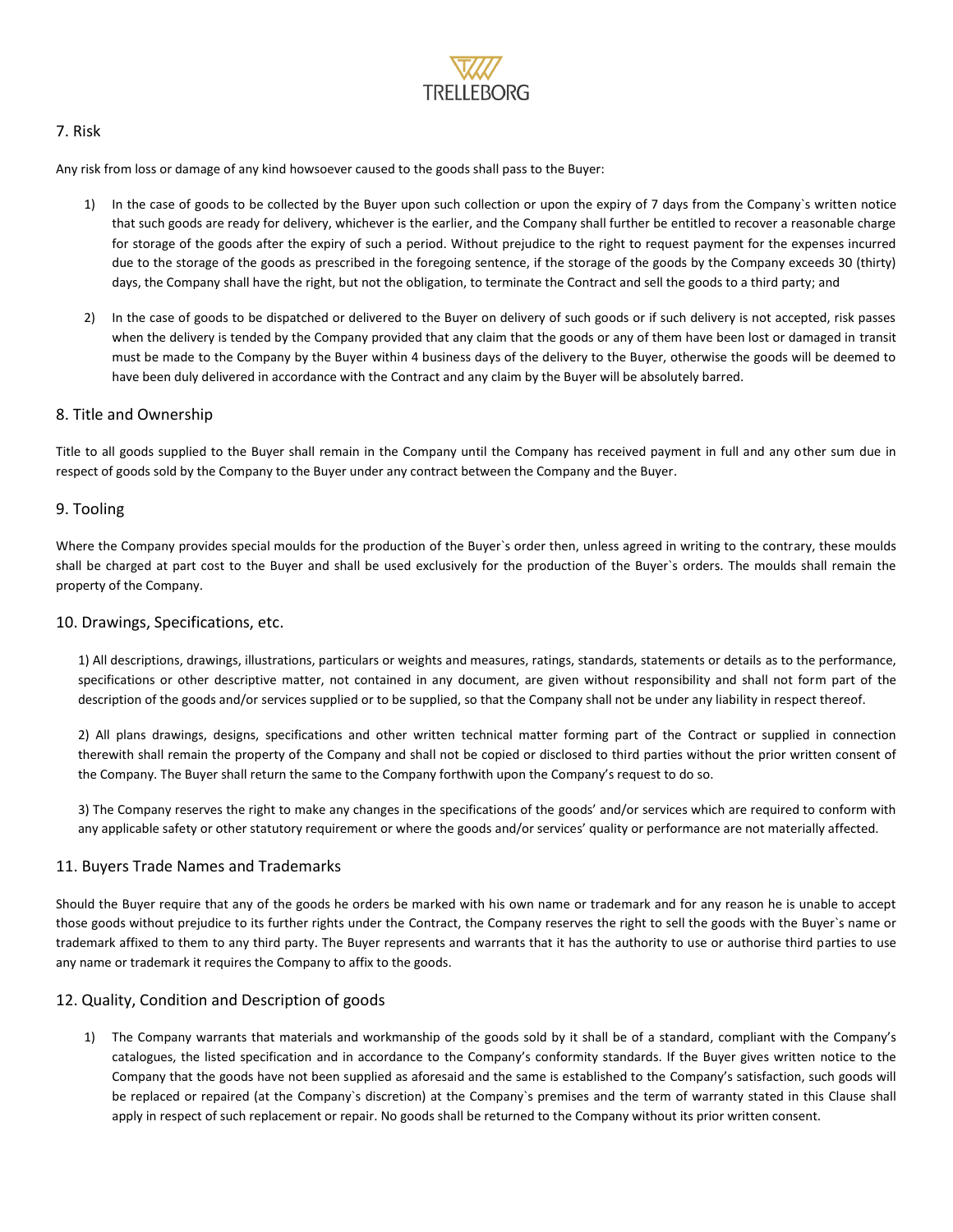

# 7. Risk

Any risk from loss or damage of any kind howsoever caused to the goods shall pass to the Buyer:

- 1) In the case of goods to be collected by the Buyer upon such collection or upon the expiry of 7 days from the Company`s written notice that such goods are ready for delivery, whichever is the earlier, and the Company shall further be entitled to recover a reasonable charge for storage of the goods after the expiry of such a period. Without prejudice to the right to request payment for the expenses incurred due to the storage of the goods as prescribed in the foregoing sentence, if the storage of the goods by the Company exceeds 30 (thirty) days, the Company shall have the right, but not the obligation, to terminate the Contract and sell the goods to a third party; and
- 2) In the case of goods to be dispatched or delivered to the Buyer on delivery of such goods or if such delivery is not accepted, risk passes when the delivery is tended by the Company provided that any claim that the goods or any of them have been lost or damaged in transit must be made to the Company by the Buyer within 4 business days of the delivery to the Buyer, otherwise the goods will be deemed to have been duly delivered in accordance with the Contract and any claim by the Buyer will be absolutely barred.

## 8. Title and Ownership

Title to all goods supplied to the Buyer shall remain in the Company until the Company has received payment in full and any other sum due in respect of goods sold by the Company to the Buyer under any contract between the Company and the Buyer.

## 9. Tooling

Where the Company provides special moulds for the production of the Buyer`s order then, unless agreed in writing to the contrary, these moulds shall be charged at part cost to the Buyer and shall be used exclusively for the production of the Buyer`s orders. The moulds shall remain the property of the Company.

## 10. Drawings, Specifications, etc.

1) All descriptions, drawings, illustrations, particulars or weights and measures, ratings, standards, statements or details as to the performance, specifications or other descriptive matter, not contained in any document, are given without responsibility and shall not form part of the description of the goods and/or services supplied or to be supplied, so that the Company shall not be under any liability in respect thereof.

2) All plans drawings, designs, specifications and other written technical matter forming part of the Contract or supplied in connection therewith shall remain the property of the Company and shall not be copied or disclosed to third parties without the prior written consent of the Company. The Buyer shall return the same to the Company forthwith upon the Company's request to do so.

3) The Company reserves the right to make any changes in the specifications of the goods' and/or services which are required to conform with any applicable safety or other statutory requirement or where the goods and/or services' quality or performance are not materially affected.

## 11. Buyers Trade Names and Trademarks

Should the Buyer require that any of the goods he orders be marked with his own name or trademark and for any reason he is unable to accept those goods without prejudice to its further rights under the Contract, the Company reserves the right to sell the goods with the Buyer`s name or trademark affixed to them to any third party. The Buyer represents and warrants that it has the authority to use or authorise third parties to use any name or trademark it requires the Company to affix to the goods.

# 12. Quality, Condition and Description of goods

1) The Company warrants that materials and workmanship of the goods sold by it shall be of a standard, compliant with the Company's catalogues, the listed specification and in accordance to the Company's conformity standards. If the Buyer gives written notice to the Company that the goods have not been supplied as aforesaid and the same is established to the Company's satisfaction, such goods will be replaced or repaired (at the Company`s discretion) at the Company`s premises and the term of warranty stated in this Clause shall apply in respect of such replacement or repair. No goods shall be returned to the Company without its prior written consent.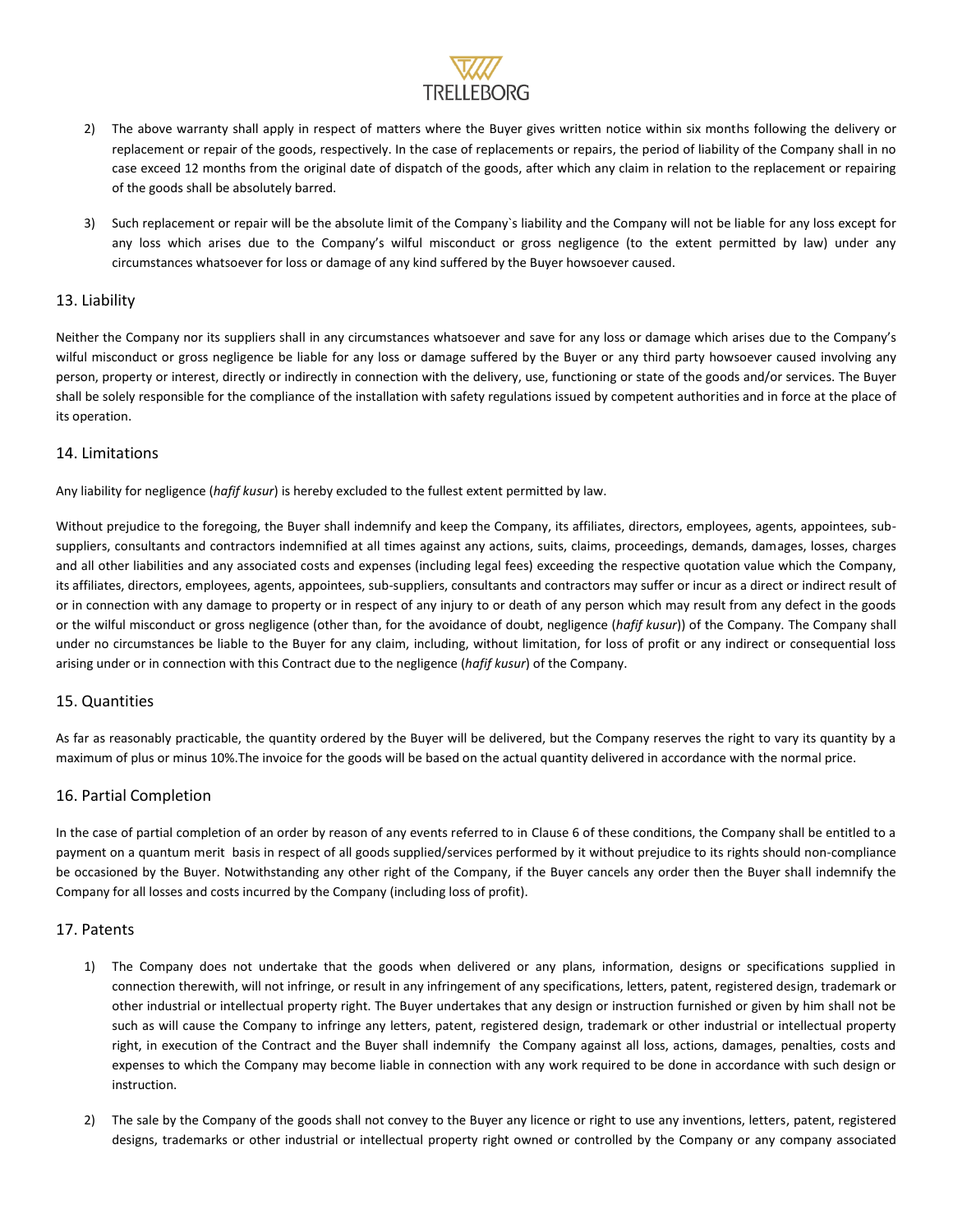- 2) The above warranty shall apply in respect of matters where the Buyer gives written notice within six months following the delivery or replacement or repair of the goods, respectively. In the case of replacements or repairs, the period of liability of the Company shall in no case exceed 12 months from the original date of dispatch of the goods, after which any claim in relation to the replacement or repairing of the goods shall be absolutely barred.
- 3) Such replacement or repair will be the absolute limit of the Company`s liability and the Company will not be liable for any loss except for any loss which arises due to the Company's wilful misconduct or gross negligence (to the extent permitted by law) under any circumstances whatsoever for loss or damage of any kind suffered by the Buyer howsoever caused.

## 13. Liability

Neither the Company nor its suppliers shall in any circumstances whatsoever and save for any loss or damage which arises due to the Company's wilful misconduct or gross negligence be liable for any loss or damage suffered by the Buyer or any third party howsoever caused involving any person, property or interest, directly or indirectly in connection with the delivery, use, functioning or state of the goods and/or services. The Buyer shall be solely responsible for the compliance of the installation with safety regulations issued by competent authorities and in force at the place of its operation.

## 14. Limitations

Any liability for negligence (*hafif kusur*) is hereby excluded to the fullest extent permitted by law.

Without prejudice to the foregoing, the Buyer shall indemnify and keep the Company, its affiliates, directors, employees, agents, appointees, subsuppliers, consultants and contractors indemnified at all times against any actions, suits, claims, proceedings, demands, damages, losses, charges and all other liabilities and any associated costs and expenses (including legal fees) exceeding the respective quotation value which the Company, its affiliates, directors, employees, agents, appointees, sub-suppliers, consultants and contractors may suffer or incur as a direct or indirect result of or in connection with any damage to property or in respect of any injury to or death of any person which may result from any defect in the goods or the wilful misconduct or gross negligence (other than, for the avoidance of doubt, negligence (*hafif kusur*)) of the Company. The Company shall under no circumstances be liable to the Buyer for any claim, including, without limitation, for loss of profit or any indirect or consequential loss arising under or in connection with this Contract due to the negligence (*hafif kusur*) of the Company.

# 15. Quantities

As far as reasonably practicable, the quantity ordered by the Buyer will be delivered, but the Company reserves the right to vary its quantity by a maximum of plus or minus 10%.The invoice for the goods will be based on the actual quantity delivered in accordance with the normal price.

# 16. Partial Completion

In the case of partial completion of an order by reason of any events referred to in Clause 6 of these conditions, the Company shall be entitled to a payment on a quantum merit basis in respect of all goods supplied/services performed by it without prejudice to its rights should non-compliance be occasioned by the Buyer. Notwithstanding any other right of the Company, if the Buyer cancels any order then the Buyer shall indemnify the Company for all losses and costs incurred by the Company (including loss of profit).

# 17. Patents

- 1) The Company does not undertake that the goods when delivered or any plans, information, designs or specifications supplied in connection therewith, will not infringe, or result in any infringement of any specifications, letters, patent, registered design, trademark or other industrial or intellectual property right. The Buyer undertakes that any design or instruction furnished or given by him shall not be such as will cause the Company to infringe any letters, patent, registered design, trademark or other industrial or intellectual property right, in execution of the Contract and the Buyer shall indemnify the Company against all loss, actions, damages, penalties, costs and expenses to which the Company may become liable in connection with any work required to be done in accordance with such design or instruction.
- 2) The sale by the Company of the goods shall not convey to the Buyer any licence or right to use any inventions, letters, patent, registered designs, trademarks or other industrial or intellectual property right owned or controlled by the Company or any company associated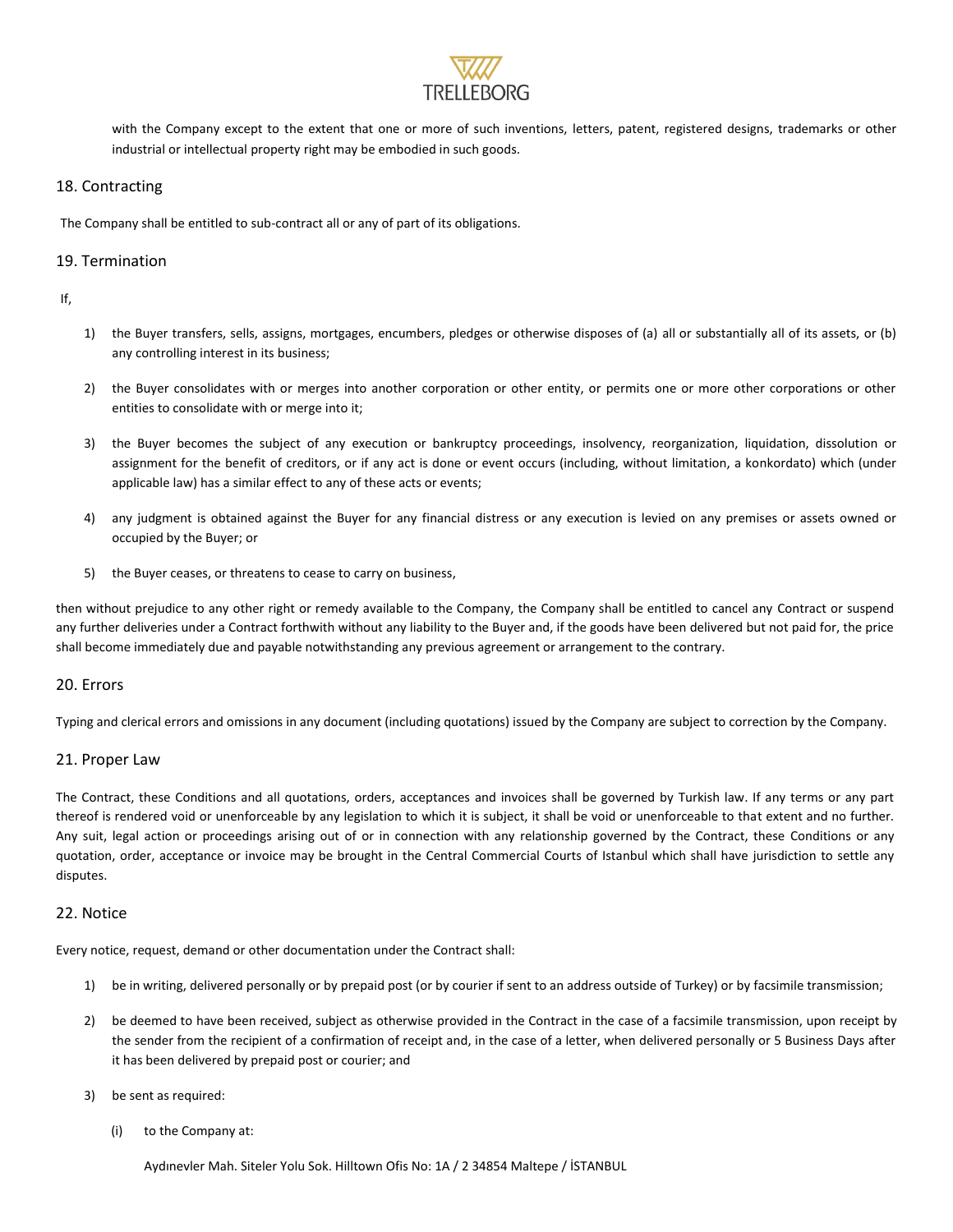

with the Company except to the extent that one or more of such inventions, letters, patent, registered designs, trademarks or other industrial or intellectual property right may be embodied in such goods.

## 18. Contracting

The Company shall be entitled to sub-contract all or any of part of its obligations.

## 19. Termination

If,

- 1) the Buyer transfers, sells, assigns, mortgages, encumbers, pledges or otherwise disposes of (a) all or substantially all of its assets, or (b) any controlling interest in its business;
- 2) the Buyer consolidates with or merges into another corporation or other entity, or permits one or more other corporations or other entities to consolidate with or merge into it;
- 3) the Buyer becomes the subject of any execution or bankruptcy proceedings, insolvency, reorganization, liquidation, dissolution or assignment for the benefit of creditors, or if any act is done or event occurs (including, without limitation, a konkordato) which (under applicable law) has a similar effect to any of these acts or events;
- 4) any judgment is obtained against the Buyer for any financial distress or any execution is levied on any premises or assets owned or occupied by the Buyer; or
- 5) the Buyer ceases, or threatens to cease to carry on business,

then without prejudice to any other right or remedy available to the Company, the Company shall be entitled to cancel any Contract or suspend any further deliveries under a Contract forthwith without any liability to the Buyer and, if the goods have been delivered but not paid for, the price shall become immediately due and payable notwithstanding any previous agreement or arrangement to the contrary.

## 20. Errors

Typing and clerical errors and omissions in any document (including quotations) issued by the Company are subject to correction by the Company.

## 21. Proper Law

The Contract, these Conditions and all quotations, orders, acceptances and invoices shall be governed by Turkish law. If any terms or any part thereof is rendered void or unenforceable by any legislation to which it is subject, it shall be void or unenforceable to that extent and no further. Any suit, legal action or proceedings arising out of or in connection with any relationship governed by the Contract, these Conditions or any quotation, order, acceptance or invoice may be brought in the Central Commercial Courts of Istanbul which shall have jurisdiction to settle any disputes.

## 22. Notice

Every notice, request, demand or other documentation under the Contract shall:

- 1) be in writing, delivered personally or by prepaid post (or by courier if sent to an address outside of Turkey) or by facsimile transmission;
- 2) be deemed to have been received, subject as otherwise provided in the Contract in the case of a facsimile transmission, upon receipt by the sender from the recipient of a confirmation of receipt and, in the case of a letter, when delivered personally or 5 Business Days after it has been delivered by prepaid post or courier; and
- 3) be sent as required:
	- (i) to the Company at:

Aydınevler Mah. Siteler Yolu Sok. Hilltown Ofis No: 1A / 2 34854 Maltepe / İSTANBUL